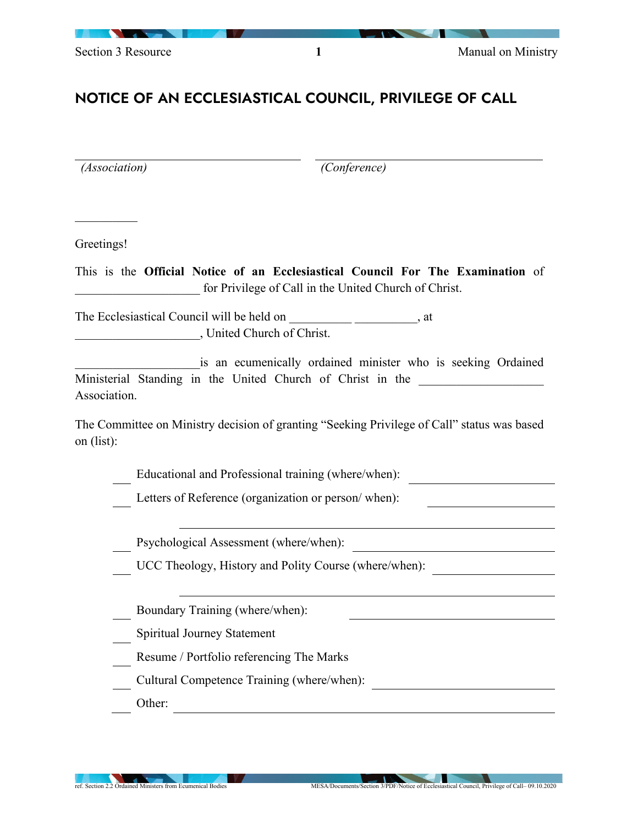## NOTICE OF AN ECCLESIASTICAL COUNCIL, PRIVILEGE OF CALL

*(Association) (Conference)*  $\frac{1}{2}$ Greetings! This is the **Official Notice of an Ecclesiastical Council For The Examination** of for Privilege of Call in the United Church of Christ. The Ecclesiastical Council will be held on \_\_\_\_\_\_\_\_\_\_\_\_\_\_\_\_\_\_\_\_\_, at \_\_\_\_\_\_\_\_\_\_\_\_\_\_\_\_\_\_\_\_, United Church of Christ. is an ecumenically ordained minister who is seeking Ordained Ministerial Standing in the United Church of Christ in the Association. The Committee on Ministry decision of granting "Seeking Privilege of Call" status was based on (list): Educational and Professional training (where/when): Letters of Reference (organization or person/ when): Psychological Assessment (where/when): UCC Theology, History and Polity Course (where/when): Boundary Training (where/when): Spiritual Journey Statement Resume / Portfolio referencing The Marks Cultural Competence Training (where/when): Other: